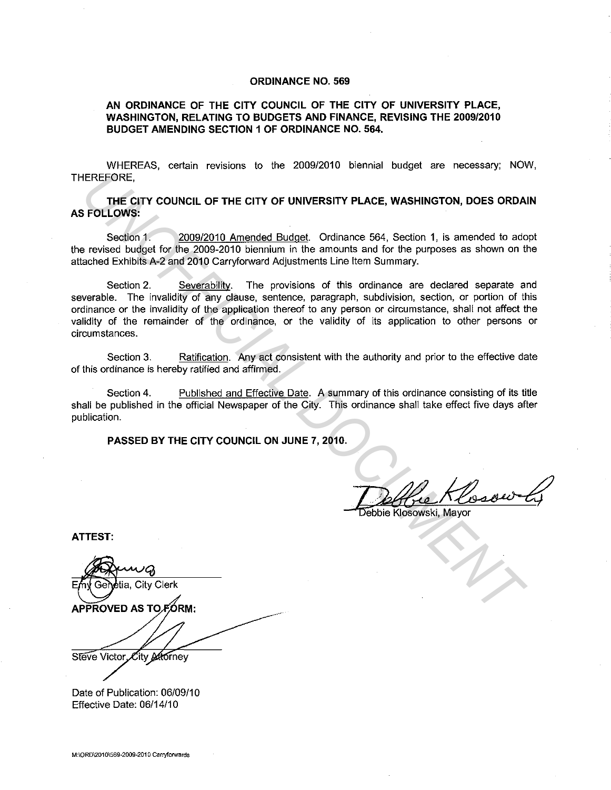## **ORDINANCE NO. 569**

## **AN ORDINANCE OF THE CITY COUNCIL OF THE CITY OF UNIVERSITY PLACE, WASHINGTON, RELATING TO BUDGETS AND FINANCE, REVISING THE 2009/2010 BUDGET AMENDING SECTION 1 OF ORDINANCE NO. 564.**

WHEREAS, certain revisions to the 2009/2010 biennial budget are necessary; NOW, THEREFORE,

**THE CITY COUNCIL OF THE CITY OF UNIVERSITY PLACE, WASHINGTON, DOES ORDAIN AS FOLLOWS:** 

Section 1. 2009/2010 Amended Budget. Ordinance 564, Section 1, is amended to adopt the revised budget for the 2009-2010 biennium in the amounts and for the purposes as shown on the attached Exhibits A-2 and 2010 Carryforward Adjustments Line Item Summary.

Section 2. Severability. The provisions of this ordinance are declared separate and severable. The invalidity of any clause, sentence, paragraph, subdivision, section, or portion of this ordinance or the invalidity of the application thereof to any person or circumstance, shall not affect the validity of the remainder of the ordinance, or the validity of its application to other persons or circumstances. EREFORE.<br> **THE CITY COUNCIL OF THE CITY OF UNIVERSITY PLACE, WASHINGTON, DOES ORDAL<br>
FOLLOWS:**<br>
Section 1. 2009/2010 Amended Budget. Ordnance 564, Section 1, is amended to ado<br>
in rowised budget for the 2008-2010 Genryforw

Section 3. Ratification. Any act consistent with the authority and prior to the effective date of this ordinance is hereby ratified and affirmed.

Section 4. Published and Effective Date. A summary of this ordinance consisting of its title shall be published in the official Newspaper of the City. This ordinance shall take effect five days after publication.

**PASSED BY THE CITY COUNCIL ON JUNE 7, 2010.** 

Deblie Klosowski, Mayor

**ATTEST:** 

tia, City Clerk Steve Victor City Atorney

Date of Publication: 06/09/10 Effective Date: 06/14/10